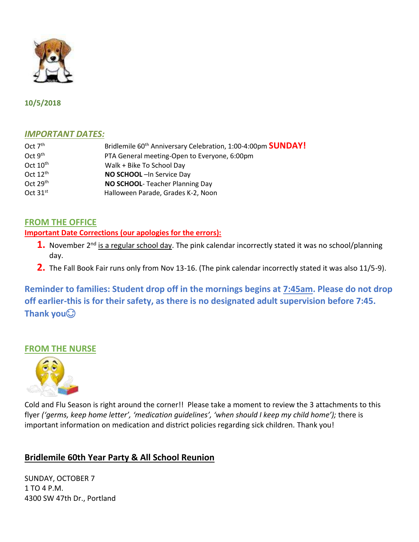

## **10/5/2018**

## *IMPORTANT DATES:*

| Oct $7th$     | Bridlemile 60 <sup>th</sup> Anniversary Celebration, 1:00-4:00pm <b>SUNDAY!</b> |
|---------------|---------------------------------------------------------------------------------|
| Oct $9th$     | PTA General meeting-Open to Everyone, 6:00pm                                    |
| Oct $10^{th}$ | Walk + Bike To School Day                                                       |
| Oct $12^{th}$ | NO SCHOOL-In Service Day                                                        |
| Oct $29th$    | NO SCHOOL- Teacher Planning Day                                                 |
| Oct $31st$    | Halloween Parade, Grades K-2, Noon                                              |

# **FROM THE OFFICE**

### **Important Date Corrections (our apologies for the errors):**

- 1. November 2<sup>nd</sup> is a regular school day. The pink calendar incorrectly stated it was no school/planning day.
- **2.** The Fall Book Fair runs only from Nov 13-16. (The pink calendar incorrectly stated it was also 11/5-9).

**Reminder to families: Student drop off in the mornings begins at 7:45am. Please do not drop off earlier-this is for their safety, as there is no designated adult supervision before 7:45. Thank you**

## **FROM THE NURSE**



Cold and Flu Season is right around the corner!! Please take a moment to review the 3 attachments to this flyer *('germs, keep home letter', 'medication guidelines', 'when should I keep my child home');* there is important information on medication and district policies regarding sick children*.* Thank you!

# **Bridlemile 60th Year Party & All School Reunion**

SUNDAY, OCTOBER 7 1 TO 4 P.M. 4300 SW 47th Dr., Portland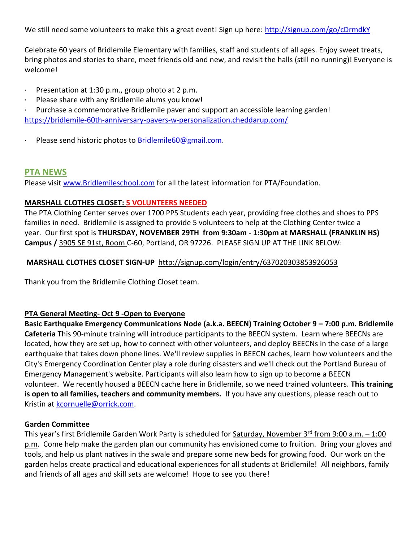We still need some volunteers to make this a great event! Sign up here:<http://signup.com/go/cDrmdkY>

Celebrate 60 years of Bridlemile Elementary with families, staff and students of all ages. Enjoy sweet treats, bring photos and stories to share, meet friends old and new, and revisit the halls (still no running)! Everyone is welcome!

- · Presentation at 1:30 p.m., group photo at 2 p.m.
- · Please share with any Bridlemile alums you know!

Purchase a commemorative Bridlemile paver and support an accessible learning garden! <https://bridlemile-60th-anniversary-pavers-w-personalization.cheddarup.com/>

· Please send historic photos to [Bridlemile60@gmail.com.](mailto:Bridlemile60@gmail.com)

## **PTA NEWS**

Please visit [www.Bridlemileschool.com](http://www.bridlemileschool.com/) for all the latest information for PTA/Foundation.

### **MARSHALL CLOTHES CLOSET: 5 VOLUNTEERS NEEDED**

The PTA Clothing Center serves over 1700 PPS Students each year, providing free clothes and shoes to PPS families in need. Bridlemile is assigned to provide 5 volunteers to help at the Clothing Center twice a year. Our first spot is **THURSDAY, NOVEMBER 29TH from 9:30am - 1:30pm at MARSHALL (FRANKLIN HS) Campus /** [3905 SE 91st, Room](https://maps.google.com/?q=3905+SE+91st,+Room+B&entry=gmail&source=g) C-60, Portland, OR 97226. PLEASE SIGN UP AT THE LINK BELOW:

### **MARSHALL CLOTHES CLOSET SIGN-UP** <http://signup.com/login/entry/637020303853926053>

Thank you from the Bridlemile Clothing Closet team.

### **PTA General Meeting- Oct 9 -Open to Everyone**

**Basic Earthquake Emergency Communications Node (a.k.a. BEECN) Training October 9 – 7:00 p.m. Bridlemile Cafeteria** This 90-minute training will introduce participants to the BEECN system. Learn where BEECNs are located, how they are set up, how to connect with other volunteers, and deploy BEECNs in the case of a large earthquake that takes down phone lines. We'll review supplies in BEECN caches, learn how volunteers and the City's Emergency Coordination Center play a role during disasters and we'll check out the Portland Bureau of Emergency Management's website. Participants will also learn how to sign up to become a BEECN volunteer. We recently housed a BEECN cache here in Bridlemile, so we need trained volunteers. **This training is open to all families, teachers and community members.** If you have any questions, please reach out to Kristin at [kcornuelle@orrick.com.](mailto:kcornuelle@orrick.com)

### **Garden Committee**

This year's first Bridlemile Garden Work Party is scheduled for Saturday, November  $3^{rd}$  from 9:00 a.m.  $-1:00$ p.m. Come help make the garden plan our community has envisioned come to fruition. Bring your gloves and tools, and help us plant natives in the swale and prepare some new beds for growing food. Our work on the garden helps create practical and educational experiences for all students at Bridlemile! All neighbors, family and friends of all ages and skill sets are welcome! Hope to see you there!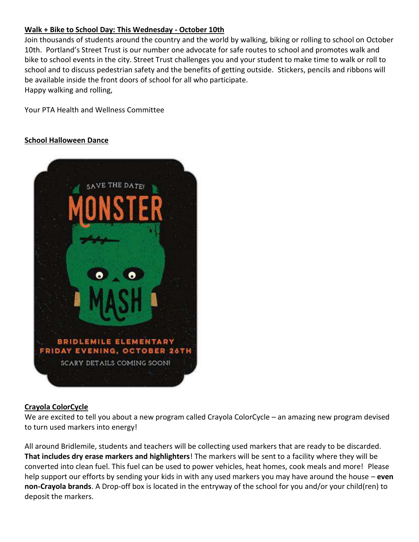## **Walk + Bike to School Day: This Wednesday - October 10th**

Join thousands of students around the country and the world by walking, biking or rolling to school on October 10th. Portland's Street Trust is our number one advocate for safe routes to school and promotes walk and bike to school events in the city. Street Trust challenges you and your student to make time to walk or roll to school and to discuss pedestrian safety and the benefits of getting outside. Stickers, pencils and ribbons will be available inside the front doors of school for all who participate. Happy walking and rolling,

Your PTA Health and Wellness Committee

#### **School Halloween Dance**



#### **Crayola ColorCycle**

We are excited to tell you about a new program called Crayola ColorCycle – an amazing new program devised to turn used markers into energy!

All around Bridlemile, students and teachers will be collecting used markers that are ready to be discarded. **That includes dry erase markers and highlighters**! The markers will be sent to a facility where they will be converted into clean fuel. This fuel can be used to power vehicles, heat homes, cook meals and more! Please help support our efforts by sending your kids in with any used markers you may have around the house – **even non-Crayola brands**. A Drop-off box is located in the entryway of the school for you and/or your child(ren) to deposit the markers.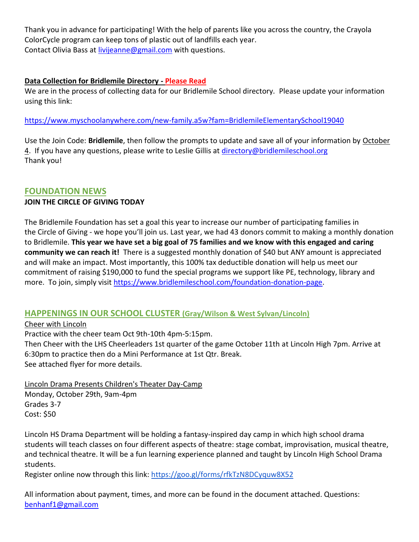Thank you in advance for participating! With the help of parents like you across the country, the Crayola ColorCycle program can keep tons of plastic out of landfills each year. Contact Olivia Bass at [livijeanne@gmail.com](mailto:livijeanne@gmail.com) with questions.

## **Data Collection for Bridlemile Directory - Please Read**

We are in the process of collecting data for our Bridlemile School directory. Please update your information using this link:

<https://www.myschoolanywhere.com/new-family.a5w?fam=BridlemileElementarySchool19040>

Use the Join Code: **Bridlemile**, then follow the prompts to update and save all of your information by October 4. If you have any questions, please write to Leslie Gillis at [directory@bridlemileschool.org](mailto:directory@bridlemileschool.org) Thank you!

## **FOUNDATION NEWS**

## **JOIN THE CIRCLE OF GIVING TODAY**

The Bridlemile Foundation has set a goal this year to increase our number of participating families in the Circle of Giving - we hope you'll join us. Last year, we had 43 donors commit to making a monthly donation to Bridlemile. **This year we have set a big goal of 75 families and we know with this engaged and caring community we can reach it!** There is a suggested monthly donation of \$40 but ANY amount is appreciated and will make an impact. Most importantly, this 100% tax deductible donation will help us meet our commitment of raising \$190,000 to fund the special programs we support like PE, technology, library and more. To join, simply visit [https://www.bridlemileschool.com/foundation-donation-page.](https://www.bridlemileschool.com/foundation-donation-page)

# **HAPPENINGS IN OUR SCHOOL CLUSTER (Gray/Wilson & West Sylvan/Lincoln)**

### Cheer with Lincoln

Practice with the cheer team Oct 9th-10th 4pm-5:15pm.

Then Cheer with the LHS Cheerleaders 1st quarter of the game October 11th at Lincoln High 7pm. Arrive at 6:30pm to practice then do a Mini Performance at 1st Qtr. Break. See attached flyer for more details.

Lincoln Drama Presents Children's Theater Day-Camp Monday, October 29th, 9am-4pm Grades 3-7 Cost: \$50

Lincoln HS Drama Department will be holding a fantasy-inspired day camp in which high school drama students will teach classes on four different aspects of theatre: stage combat, improvisation, musical theatre, and technical theatre. It will be a fun learning experience planned and taught by Lincoln High School Drama students.

Register online now through this link:<https://goo.gl/forms/rfkTzN8DCyquw8X52>

All information about payment, times, and more can be found in the document attached. Questions: [benhanf1@gmail.com](mailto:benhanf1@gmail.com)